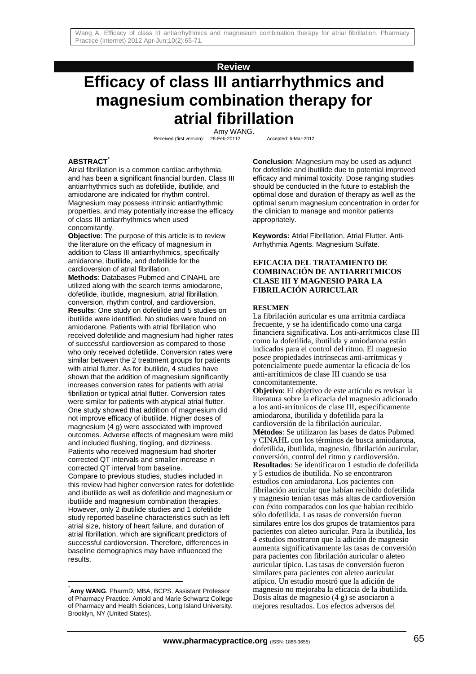## **Review**

# **Efficacy of class III antiarrhythmics and magnesium combination therapy for atrial fibrillation**

Amy WANG. Received (first version): 28-Feb-20112 Accepted: 6-Mar-2012

**ABSTRACT\***

Atrial fibrillation is a common cardiac arrhythmia, and has been a significant financial burden. Class III antiarrhythmics such as dofetilide, ibutilide, and amiodarone are indicated for rhythm control. Magnesium may possess intrinsic antiarrhythmic properties, and may potentially increase the efficacy of class III antiarrhythmics when used concomitantly.

**Objective:** The purpose of this article is to review the literature on the efficacy of magnesium in addition to Class III antiarrhythmics, specifically amidarone, ibutilide, and dofetilide for the cardioversion of atrial fibrillation.

**Methods**: Databases Pubmed and CINAHL are utilized along with the search terms amiodarone, dofetilide, ibutlide, magnesium, atrial fibrillation, conversion, rhythm control, and cardioversion. **Results**: One study on dofetilide and 5 studies on ibutilide were identified. No studies were found on amiodarone. Patients with atrial fibrillation who received dofetilide and magnesium had higher rates of successful cardioversion as compared to those who only received dofetilide. Conversion rates were similar between the 2 treatment groups for patients with atrial flutter. As for ibutilide, 4 studies have shown that the addition of magnesium significantly increases conversion rates for patients with atrial fibrillation or typical atrial flutter. Conversion rates were similar for patients with atypical atrial flutter. One study showed that addition of magnesium did not improve efficacy of ibutilide. Higher doses of magnesium (4 g) were associated with improved outcomes. Adverse effects of magnesium were mild and included flushing, tingling, and dizziness. Patients who received magnesium had shorter corrected QT intervals and smaller increase in corrected QT interval from baseline. Compare to previous studies, studies included in this review had higher conversion rates for dofetilide and ibutilide as well as dofetilide and magnesium or ibutilide and magnesium combination therapies. However, only 2 ibutilide studies and 1 dofetilide study reported baseline characteristics such as left atrial size, history of heart failure, and duration of atrial fibrillation, which are significant predictors of successful cardioversion. Therefore, differences in baseline demographics may have influenced the results.

l

**Conclusion**: Magnesium may be used as adjunct for dofetilide and ibutilide due to potential improved efficacy and minimal toxicity. Dose ranging studies should be conducted in the future to establish the optimal dose and duration of therapy as well as the optimal serum magnesium concentration in order for the clinician to manage and monitor patients appropriately.

**Keywords:** Atrial Fibrillation. Atrial Flutter. Anti-Arrhythmia Agents. Magnesium Sulfate.

#### **EFICACIA DEL TRATAMIENTO DE COMBINACIÓN DE ANTIARRITMICOS CLASE III Y MAGNESIO PARA LA FIBRILACIÓN AURICULAR**

#### **RESUMEN**

La fibrilación auricular es una arritmia cardiaca frecuente, y se ha identificado como una carga financiera significativa. Los anti-arrítmicos clase III como la dofetilida, ibutilida y amiodarona están indicados para el control del ritmo. El magnesio posee propiedades intrínsecas anti-arrítmicas y potencialmente puede aumentar la eficacia de los anti-arrítimicos de clase III cuando se usa concomitantemente.

**Objetivo**: El objetivo de este artículo es revisar la literatura sobre la eficacia del magnesio adicionado a los anti-arrítmicos de clase III, específicamente amiodarona, ibutilida y dofetilida para la cardioversión de la fibrilación auricular. **Métodos**: Se utilizaron las bases de datos Pubmed y CINAHL con los términos de busca amiodarona, dofetilida, ibutilida, magnesio, fibrilación auricular, conversión, control del ritmo y cardioversión. **Resultados**: Se identificaron 1 estudio de dofetilida y 5 estudios de ibutilida. No se encontraron estudios con amiodarona. Los pacientes con fibrilación auricular que habían recibido dofetilida y magnesio tenían tasas más altas de cardioversión con éxito comparados con los que habían recibido sólo dofetilida. Las tasas de conversión fueron similares entre los dos grupos de tratamientos para pacientes con aleteo auricular. Para la ibutilida, los 4 estudios mostraron que la adición de magnesio aumenta significativamente las tasas de conversión para pacientes con fibrilación auricular o aleteo auricular típico. Las tasas de conversión fueron similares para pacientes con aleteo auricular atípico. Un estudio mostró que la adición de magnesio no mejoraba la eficacia de la ibutilida. Dosis altas de magnesio (4 g) se asociaron a mejores resultados. Los efectos adversos del

**Amy WANG**. PharmD, MBA, BCPS. Assistant Professor of Pharmacy Practice. Arnold and Marie Schwartz College of Pharmacy and Health Sciences, Long Island University. Brooklyn, NY (United States).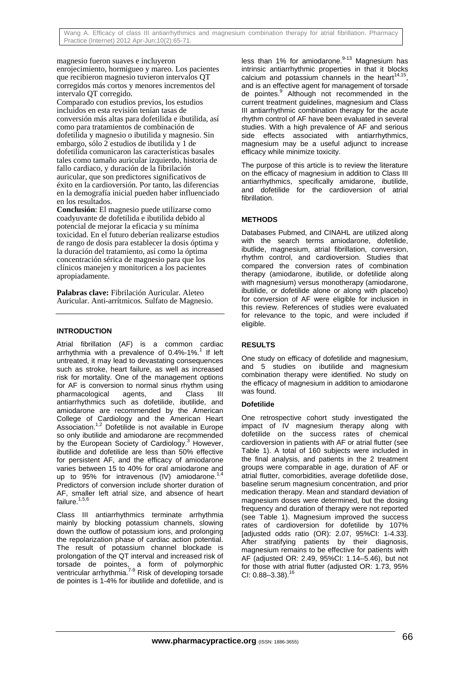magnesio fueron suaves e incluyeron enrojecimiento, hormigueo y mareo. Los pacientes que recibieron magnesio tuvieron intervalos QT corregidos más cortos y menores incrementos del intervalo QT corregido.

Comparado con estudios previos, los estudios incluidos en esta revisión tenían tasas de conversión más altas para dofetilida e ibutilida, así como para tratamientos de combinación de dofetilida y magnesio o ibutilida y magnesio. Sin embargo, sólo 2 estudios de ibutilida y 1 de dofetilida comunicaron las características basales tales como tamaño auricular izquierdo, historia de fallo cardiaco, y duración de la fibrilación auricular, que son predictores significativos de éxito en la cardioversión. Por tanto, las diferencias en la demografía inicial pueden haber influenciado en los resultados.

**Conclusión**: El magnesio puede utilizarse como coadyuvante de dofetilida e ibutilida debido al potencial de mejorar la eficacia y su mínima toxicidad. En el futuro deberían realizarse estudios de rango de dosis para establecer la dosis óptima y la duración del tratamiento, así como la óptima concentración sérica de magnesio para que los clínicos manejen y monitoricen a los pacientes apropiadamente.

**Palabras clave:** Fibrilación Auricular. Aleteo Auricular. Anti-arrítmicos. Sulfato de Magnesio.

### **INTRODUCTION**

Atrial fibrillation (AF) is a common cardiac arrhythmia with a prevalence of 0.4%-1%.<sup>1</sup> If left untreated, it may lead to devastating consequences such as stroke, heart failure, as well as increased risk for mortality. One of the management options for AF is conversion to normal sinus rhythm using pharmacological agents, and Class III antiarrhythmics such as dofetilide, ibutilide, and amiodarone are recommended by the American College of Cardiology and the American Heart Association.<sup>1,2</sup> Dofetilide is not available in Europe so only ibutilide and amiodarone are recommended by the European Society of Cardiology.<sup>3</sup> However, ibutilide and dofetilide are less than 50% effective for persistent AF, and the efficacy of amiodarone varies between 15 to 40% for oral amiodarone and up to 95% for intravenous (IV) amiodarone.<sup>1</sup> Predictors of conversion include shorter duration of AF, smaller left atrial size, and absence of heart failure. $1,5,6$ 

Class III antiarrhythmics terminate arrhythmia mainly by blocking potassium channels, slowing down the outflow of potassium ions, and prolonging the repolarization phase of cardiac action potential. The result of potassium channel blockade is prolongation of the QT interval and increased risk of torsade de pointes, a form of polymorphic ventricular arrhythmia.<sup>7-9</sup> Risk of developing torsade de pointes is 1-4% for ibutilide and dofetilide, and is

less than 1% for amiodarone. $9-13$  Magnesium has intrinsic antiarrhythmic properties in that it blocks calcium and potassium channels in the heart $14,15$ and is an effective agent for management of torsade de pointes.<sup>9</sup> Although not recommended in the current treatment guidelines, magnesium and Class III antiarrhythmic combination therapy for the acute rhythm control of AF have been evaluated in several studies. With a high prevalence of AF and serious side effects associated with antiarrhythmics, magnesium may be a useful adjunct to increase efficacy while minimize toxicity.

The purpose of this article is to review the literature on the efficacy of magnesium in addition to Class III antiarrhythmics, specifically amidarone, ibutilide, and dofetilide for the cardioversion of atrial fibrillation.

# **METHODS**

Databases Pubmed, and CINAHL are utilized along with the search terms amiodarone, dofetilide, ibutlide, magnesium, atrial fibrillation, conversion, rhythm control, and cardioversion. Studies that compared the conversion rates of combination therapy (amiodarone, ibutilide, or dofetilide along with magnesium) versus monotherapy (amiodarone, ibutilide, or dofetilide alone or along with placebo) for conversion of AF were eligible for inclusion in this review. References of studies were evaluated for relevance to the topic, and were included if eligible.

# **RESULTS**

One study on efficacy of dofetilide and magnesium, and 5 studies on ibutilide and magnesium combination therapy were identified. No study on the efficacy of magnesium in addition to amiodarone was found.

# **Dofetilide**

One retrospective cohort study investigated the impact of IV magnesium therapy along with dofetilide on the success rates of chemical cardioversion in patients with AF or atrial flutter (see Table 1). A total of 160 subjects were included in the final analysis, and patients in the 2 treatment groups were comparable in age, duration of AF or atrial flutter, comorbidities, average dofetilide dose, baseline serum magnesium concentration, and prior medication therapy. Mean and standard deviation of magnesium doses were determined, but the dosing frequency and duration of therapy were not reported (see Table 1). Magnesium improved the success rates of cardioversion for dofetilide by 107% [adjusted odds ratio (OR): 2.07, 95%CI: 1-4.33]. After stratifying patients by their diagnosis, magnesium remains to be effective for patients with AF (adjusted OR: 2.49, 95%CI: 1.14–5.46), but not for those with atrial flutter (adjusted OR: 1.73, 95% CI:  $0.88 - 3.38$ ).  $16$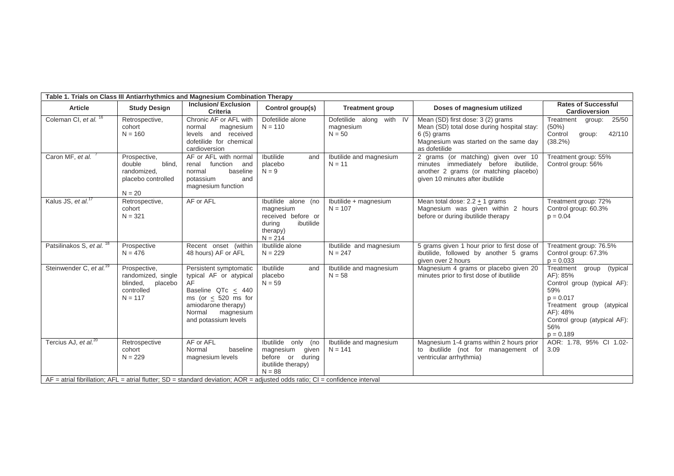| Table 1. Trials on Class III Antiarrhythmics and Magnesium Combination Therapy |                                                                                      |                                                                                                                                                                                               |                                                                                                        |                                                   |                                                                                                                                                           |                                                                                                                                                                                                |
|--------------------------------------------------------------------------------|--------------------------------------------------------------------------------------|-----------------------------------------------------------------------------------------------------------------------------------------------------------------------------------------------|--------------------------------------------------------------------------------------------------------|---------------------------------------------------|-----------------------------------------------------------------------------------------------------------------------------------------------------------|------------------------------------------------------------------------------------------------------------------------------------------------------------------------------------------------|
| <b>Article</b>                                                                 | <b>Study Design</b>                                                                  | <b>Inclusion/Exclusion</b><br><b>Criteria</b>                                                                                                                                                 | Control group(s)                                                                                       | <b>Treatment group</b>                            | Doses of magnesium utilized                                                                                                                               | <b>Rates of Successful</b><br>Cardioversion                                                                                                                                                    |
| Coleman CI, et al. <sup>16</sup>                                               | Retrospective,<br>cohort<br>$N = 160$                                                | Chronic AF or AFL with<br>magnesium<br>normal<br>levels and received<br>dofetilide for chemical<br>cardioversion                                                                              | Dofetilide alone<br>$N = 110$                                                                          | Dofetilide along with IV<br>magnesium<br>$N = 50$ | Mean (SD) first dose: 3 (2) grams<br>Mean (SD) total dose during hospital stay:<br>$6(5)$ grams<br>Magnesium was started on the same day<br>as dofetilide | Treatment<br>25/50<br>group:<br>(50%)<br>42/110<br>Control<br>group:<br>$(38.2\%)$                                                                                                             |
| Caron MF, et al.                                                               | Prospective,<br>blind.<br>double<br>randomized.<br>placebo controlled<br>$N = 20$    | AF or AFL with normal<br>renal<br>function<br>and<br>baseline<br>normal<br>potassium<br>and<br>magnesium function                                                                             | <b>Ibutilide</b><br>and<br>placebo<br>$N = 9$                                                          | Ibutilide and magnesium<br>$N = 11$               | 2 grams (or matching) given over 10<br>minutes immediately before ibutilide,<br>another 2 grams (or matching placebo)<br>given 10 minutes after ibutilide | Treatment group: 55%<br>Control group: 56%                                                                                                                                                     |
| Kalus JS, et al. <sup>17</sup>                                                 | Retrospective,<br>cohort<br>$N = 321$                                                | AF or AFL                                                                                                                                                                                     | Ibutilide alone (no<br>magnesium<br>received before or<br>ibutilide<br>during<br>therapy)<br>$N = 214$ | Ibutilide + magnesium<br>$N = 107$                | Mean total dose: $2.2 + 1$ grams<br>Magnesium was given within 2 hours<br>before or during ibutilide therapy                                              | Treatment group: 72%<br>Control group: 60.3%<br>$p = 0.04$                                                                                                                                     |
| Patsilinakos S, et al. <sup>18</sup>                                           | Prospective<br>$N = 476$                                                             | Recent onset (within<br>48 hours) AF or AFL                                                                                                                                                   | Ibutilide alone<br>$N = 229$                                                                           | Ibutilide and magnesium<br>$N = 247$              | 5 grams given 1 hour prior to first dose of<br>ibutilide, followed by another 5 grams<br>given over 2 hours                                               | Treatment group: 76.5%<br>Control group: 67.3%<br>$p = 0.033$                                                                                                                                  |
| Steinwender C, et al. <sup>19</sup>                                            | Prospective,<br>randomized, single<br>blinded,<br>placebo<br>controlled<br>$N = 117$ | Persistent symptomatic<br>typical AF or atypical<br>AF<br>Baseline QTc $\leq$ 440<br>ms (or $<$ 520 ms for<br>amiodarone therapy)<br>Normal<br>magnesium<br>and potassium levels              | Ibutilide<br>and<br>placebo<br>$N = 59$                                                                | Ibutilide and magnesium<br>$N = 58$               | Magnesium 4 grams or placebo given 20<br>minutes prior to first dose of ibutilide                                                                         | Treatment<br>group<br>(typical<br>AF): 85%<br>Control group (typical AF):<br>59%<br>$p = 0.017$<br>Treatment group (atypical<br>AF): 48%<br>Control group (atypical AF):<br>56%<br>$p = 0.189$ |
| Tercius AJ, et $al^{20}$                                                       | Retrospective<br>cohort<br>$N = 229$                                                 | AF or AFL<br>Normal<br>baseline<br>magnesium levels<br>$AF =$ atrial fibrillation; $AFL =$ atrial flutter; $SD =$ standard deviation; $AOR =$ adjusted odds ratio; $Cl =$ confidence interval | Ibutilide only (no<br>magnesium<br>given<br>before or<br>during<br>ibutilide therapy)<br>$N = 88$      | Ibutilide and magnesium<br>$N = 141$              | Magnesium 1-4 grams within 2 hours prior<br>to ibutilide (not for management of<br>ventricular arrhythmia)                                                | AOR: 1.78, 95% Cl 1.02-<br>3.09                                                                                                                                                                |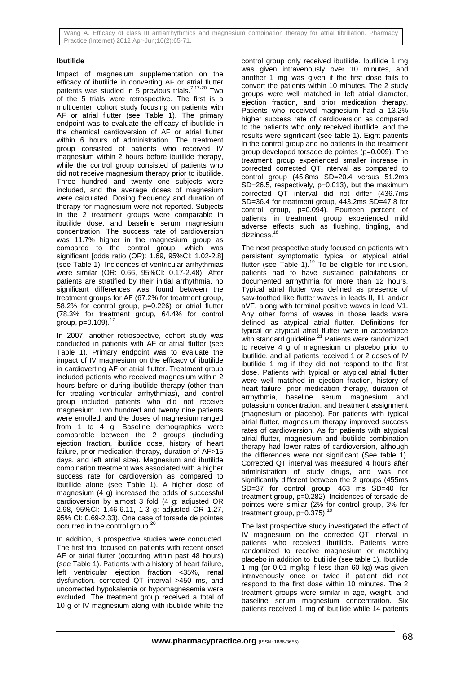Wang A. Efficacy of class III antiarrhythmics and magnesium combination therapy for atrial fibrillation. Pharmacy Practice (Internet) 2012 Apr-Jun;10(2):65-71.

#### **Ibutilide**

Impact of magnesium supplementation on the efficacy of ibutilide in converting AF or atrial flutter patients was studied in 5 previous trials. $7,17-20$  Two of the 5 trials were retrospective. The first is a multicenter, cohort study focusing on patients with AF or atrial flutter (see Table 1). The primary endpoint was to evaluate the efficacy of ibutilide in the chemical cardioversion of AF or atrial flutter within 6 hours of administration. The treatment group consisted of patients who received IV magnesium within 2 hours before ibutilide therapy, while the control group consisted of patients who did not receive magnesium therapy prior to ibutilide. Three hundred and twenty one subjects were included, and the average doses of magnesium were calculated. Dosing frequency and duration of therapy for magnesium were not reported. Subjects in the 2 treatment groups were comparable in ibutilide dose, and baseline serum magnesium concentration. The success rate of cardioversion was 11.7% higher in the magnesium group as compared to the control group, which was significant [odds ratio (OR): 1.69, 95%CI: 1.02-2.8] (see Table 1). Incidences of ventricular arrhythmias were similar (OR: 0.66, 95%CI: 0.17-2.48). After patients are stratified by their initial arrhythmia, no significant differences was found between the treatment groups for AF (67.2% for treatment group, 58.2% for control group, p=0.226) or atrial flutter (78.3% for treatment group, 64.4% for control group, p=0.109).<sup>17</sup>

In 2007, another retrospective, cohort study was conducted in patients with AF or atrial flutter (see Table 1). Primary endpoint was to evaluate the impact of IV magnesium on the efficacy of ibutilide in cardioverting AF or atrial flutter. Treatment group included patients who received magnesium within 2 hours before or during ibutilide therapy (other than for treating ventricular arrhythmias), and control group included patients who did not receive magnesium. Two hundred and twenty nine patients were enrolled, and the doses of magnesium ranged from 1 to 4 g. Baseline demographics were comparable between the 2 groups (including ejection fraction, ibutilide dose, history of heart failure, prior medication therapy, duration of AF>15 days, and left atrial size). Magnesium and ibutilide combination treatment was associated with a higher success rate for cardioversion as compared to ibutilide alone (see Table 1). A higher dose of magnesium (4 g) increased the odds of successful cardioversion by almost 3 fold (4 g: adjusted OR 2.98, 95%CI: 1.46-6.11, 1-3 g: adjusted OR 1.27, 95% CI: 0.69-2.33). One case of torsade de pointes occurred in the control group.<sup>2</sup>

In addition, 3 prospective studies were conducted. The first trial focused on patients with recent onset AF or atrial flutter (occurring within past 48 hours) (see Table 1). Patients with a history of heart failure, left ventricular ejection fraction <35%, renal dysfunction, corrected QT interval >450 ms, and uncorrected hypokalemia or hypomagnesemia were excluded. The treatment group received a total of 10 g of IV magnesium along with ibutilide while the

control group only received ibutilide. Ibutilide 1 mg was given intravenously over 10 minutes, and another 1 mg was given if the first dose fails to convert the patients within 10 minutes. The 2 study groups were well matched in left atrial diameter, ejection fraction, and prior medication therapy. Patients who received magnesium had a 13.2% higher success rate of cardioversion as compared to the patients who only received ibutilide, and the results were significant (see table 1). Eight patients in the control group and no patients in the treatment group developed torsade de pointes (p=0.009). The treatment group experienced smaller increase in corrected corrected QT interval as compared to control group (45.8ms SD=20.4 versus 51.2ms SD=26.5, respectively, p=0.013), but the maximum corrected QT interval did not differ (436.7ms SD=36.4 for treatment group, 443.2ms SD=47.8 for control group, p=0.094). Fourteen percent of patients in treatment group experienced mild adverse effects such as flushing, tingling, and dizziness.<sup>18</sup>

The next prospective study focused on patients with persistent symptomatic typical or atypical atrial flutter (see Table 1). $^{19}$  To be eligible for inclusion, patients had to have sustained palpitations or documented arrhythmia for more than 12 hours. Typical atrial flutter was defined as presence of saw-toothed like flutter waves in leads II, III, and/or aVF, along with terminal positive waves in lead V1. Any other forms of waves in those leads were defined as atypical atrial flutter. Definitions for typical or atypical atrial flutter were in accordance with standard guideline.<sup>21</sup> Patients were randomized to receive 4 g of magnesium or placebo prior to ibutilide, and all patients received 1 or 2 doses of IV ibutilide 1 mg if they did not respond to the first dose. Patients with typical or atypical atrial flutter were well matched in ejection fraction, history of heart failure, prior medication therapy, duration of arrhythmia, baseline serum magnesium and potassium concentration, and treatment assignment (magnesium or placebo). For patients with typical atrial flutter, magnesium therapy improved success rates of cardioversion. As for patients with atypical atrial flutter, magnesium and ibutilide combination therapy had lower rates of cardioversion, although the differences were not significant (See table 1). Corrected QT interval was measured 4 hours after administration of study drugs, and was not significantly different between the 2 groups (455ms SD=37 for control group, 463 ms SD=40 for treatment group, p=0.282). Incidences of torsade de pointes were similar (2% for control group, 3% for treatment group,  $p=0.375$ ).<sup>19</sup>

The last prospective study investigated the effect of IV magnesium on the corrected QT interval in patients who received ibutilide. Patients were randomized to receive magnesium or matching placebo in addition to ibutilide (see table 1). Ibutilide 1 mg (or 0.01 mg/kg if less than 60 kg) was given intravenously once or twice if patient did not respond to the first dose within 10 minutes. The 2 treatment groups were similar in age, weight, and baseline serum magnesium concentration. Six patients received 1 mg of ibutilide while 14 patients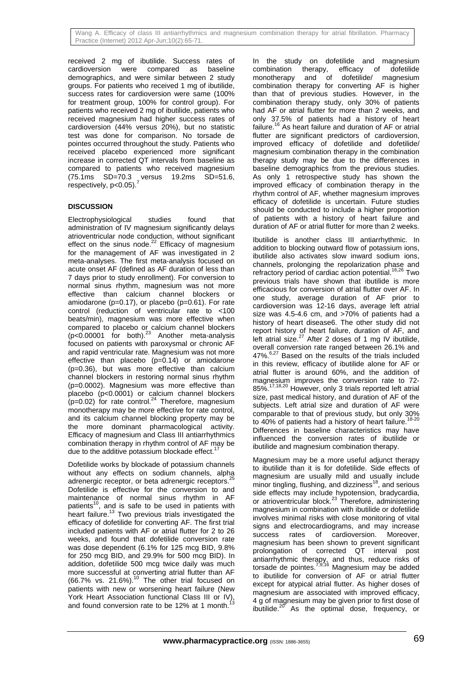Wang A. Efficacy of class III antiarrhythmics and magnesium combination therapy for atrial fibrillation. Pharmacy Practice (Internet) 2012 Apr-Jun;10(2):65-71.

received 2 mg of ibutilide. Success rates of cardioversion were compared as baseline demographics, and were similar between 2 study groups. For patients who received 1 mg of ibutilide, success rates for cardioversion were same (100% for treatment group, 100% for control group). For patients who received 2 mg of ibutilide, patients who received magnesium had higher success rates of cardioversion (44% versus 20%), but no statistic test was done for comparison. No torsade de pointes occurred throughout the study. Patients who received placebo experienced more significant increase in corrected QT intervals from baseline as compared to patients who received magnesium (75.1ms SD=70.3 versus 19.2ms SD=51.6,  $respectively, p<0.05$ ).<sup>7</sup>

# **DISCUSSION**

Electrophysiological studies found that administration of IV magnesium significantly delays atrioventricular node conduction, without significant effect on the sinus node. $^{22}$  Efficacy of magnesium for the management of AF was investigated in 2 meta-analyses. The first meta-analysis focused on acute onset AF (defined as AF duration of less than 7 days prior to study enrollment). For conversion to normal sinus rhythm, magnesium was not more effective than calcium channel blockers or amiodarone (p=0.17), or placebo (p=0.61). For rate control (reduction of ventricular rate to <100 beats/min), magnesium was more effective when compared to placebo or calcium channel blockers ( $p$ <0.00001 for both).<sup>23</sup> Another meta-analysis focused on patients with paroxysmal or chronic AF and rapid ventricular rate. Magnesium was not more effective than placebo  $(p=0.14)$  or amiodarone (p=0.36), but was more effective than calcium channel blockers in restoring normal sinus rhythm (p=0.0002). Magnesium was more effective than placebo (p<0.0001) or calcium channel blockers  $(p=0.02)$  for rate control.<sup>24</sup> Therefore, magnesium monotherapy may be more effective for rate control, and its calcium channel blocking property may be the more dominant pharmacological activity. Efficacy of magnesium and Class III antiarrhythmics combination therapy in rhythm control of AF may be due to the additive potassium blockade effect.<sup>1</sup>

Dofetilide works by blockade of potassium channels without any effects on sodium channels, alpha adrenergic receptor, or beta adrenergic receptors.<sup>2</sup> Dofetilide is effective for the conversion to and maintenance of normal sinus rhythm in AF patients<sup>10</sup>, and is safe to be used in patients with heart failure.<sup>13</sup> Two previous trials investigated the efficacy of dofetilide for converting AF. The first trial included patients with AF or atrial flutter for 2 to 26 weeks, and found that dofetilide conversion rate was dose dependent (6.1% for 125 mcg BID, 9.8% for 250 mcg BID, and 29.9% for 500 mcg BID). In addition, dofetilide 500 mcg twice daily was much more successful at converting atrial flutter than AF (66.7% vs. 21.6%). $10$  The other trial focused on patients with new or worsening heart failure (New York Heart Association functional Class III or IV), and found conversion rate to be 12% at 1 month.<sup>13</sup>

In the study on dofetilide and magnesium combination therapy, efficacy of dofetilide monotherapy and of dofetilide/ magnesium monotherapy and of dofetilide/ magnesium combination therapy for converting AF is higher than that of previous studies. However, in the combination therapy study, only 30% of patients had AF or atrial flutter for more than 2 weeks, and only 37.5% of patients had a history of heart failure.16 As heart failure and duration of AF or atrial flutter are significant predictors of cardioversion, improved efficacy of dofetilide and dofetilide/ magnesium combination therapy in the combination therapy study may be due to the differences in baseline demographics from the previous studies. As only 1 retrospective study has shown the improved efficacy of combination therapy in the rhythm control of AF, whether magnesium improves efficacy of dofetilide is uncertain. Future studies should be conducted to include a higher proportion of patients with a history of heart failure and duration of AF or atrial flutter for more than 2 weeks.

Ibutilide is another class III antiarrhythmic. In addition to blocking outward flow of potassium ions, ibutilide also activates slow inward sodium ions, channels, prolonging the repolarization phase and refractory period of cardiac action potential.<sup>16,26</sup> Two previous trials have shown that ibutilide is more efficacious for conversion of atrial flutter over AF. In one study, average duration of AF prior to cardioversion was 12-16 days, average left atrial size was 4.5-4.6 cm, and >70% of patients had a history of heart disease6. The other study did not report history of heart failure, duration of AF, and left atrial size. $27$  After 2 doses of 1 mg IV ibutilide, overall conversion rate ranged between 26.1% and  $47\%$ .<sup>6,27</sup> Based on the results of the trials included in this review, efficacy of ibutilide alone for AF or atrial flutter is around 60%, and the addition of magnesium improves the conversion rate to 72- 85%.<sup>17,18,20</sup> However, only 3 trials reported left atrial size, past medical history, and duration of AF of the subjects. Left atrial size and duration of AF were comparable to that of previous study, but only 30% to 40% of patients had a history of heart failure.<sup>18-20</sup> Differences in baseline characteristics may have influenced the conversion rates of ibutilide or ibutilide and magnesium combination therapy.

Magnesium may be a more useful adjunct therapy to ibutilide than it is for dofetilide. Side effects of magnesium are usually mild and usually include minor tingling, flushing, and dizziness $^{18}$ , and serious side effects may include hypotension, bradycardia, or atrioventricular block.<sup>23</sup> Therefore, administering magnesium in combination with ibutilide or dofetilide involves minimal risks with close monitoring of vital signs and electrocardiograms, and may increase success rates of cardioversion. Moreover, magnesium has been shown to prevent significant prolongation of corrected QT interval post antiarrhythmic therapy, and thus, reduce risks of torsade de pointes.<sup>7,9,16</sup> Magnesium may be added to ibutilide for conversion of AF or atrial flutter except for atypical atrial flutter. As higher doses of magnesium are associated with improved efficacy, 4 g of magnesium may be given prior to first dose of ibutilide. $20^\circ$  As the optimal dose, frequency, or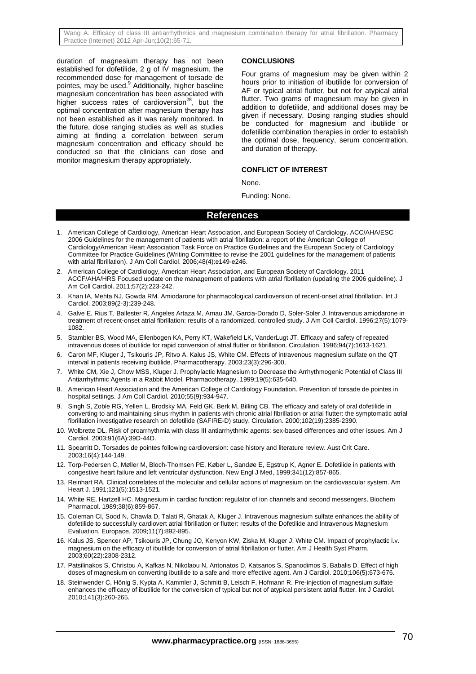Wang A. Efficacy of class III antiarrhythmics and magnesium combination therapy for atrial fibrillation. Pharmacy Practice (Internet) 2012 Apr-Jun;10(2):65-71.

duration of magnesium therapy has not been established for dofetilide, 2 g of IV magnesium, the recommended dose for management of torsade de pointes, may be used.<sup>9</sup> Additionally, higher baseline magnesium concentration has been associated with higher success rates of cardioversion<sup>28</sup>, but the optimal concentration after magnesium therapy has not been established as it was rarely monitored. In the future, dose ranging studies as well as studies aiming at finding a correlation between serum magnesium concentration and efficacy should be conducted so that the clinicians can dose and monitor magnesium therapy appropriately.

#### **CONCLUSIONS**

Four grams of magnesium may be given within 2 hours prior to initiation of ibutilide for conversion of AF or typical atrial flutter, but not for atypical atrial flutter. Two grams of magnesium may be given in addition to dofetilide, and additional doses may be given if necessary. Dosing ranging studies should be conducted for magnesium and ibutilide or dofetilide combination therapies in order to establish the optimal dose, frequency, serum concentration, and duration of therapy.

#### **CONFLICT OF INTEREST**

None.

Funding: None.

#### **References**

- 1. American College of Cardiology, American Heart Association, and European Society of Cardiology. ACC/AHA/ESC 2006 Guidelines for the management of patients with atrial fibrillation: a report of the American College of Cardiology/American Heart Association Task Force on Practice Guidelines and the European Society of Cardiology Committee for Practice Guidelines (Writing Committee to revise the 2001 guidelines for the management of patients with atrial fibrillation). J Am Coll Cardiol. 2006;48(4):e149-e246.
- 2. American College of Cardiology, American Heart Association, and European Society of Cardiology. 2011 ACCF/AHA/HRS Focused update on the management of patients with atrial fibrillation (updating the 2006 guideline). J Am Coll Cardiol. 2011;57(2):223-242.
- 3. Khan IA, Mehta NJ, Gowda RM. Amiodarone for pharmacological cardioversion of recent-onset atrial fibrillation. Int J Cardiol. 2003;89(2-3):239-248.
- 4. Galve E, Rius T, Ballester R, Angeles Artaza M, Arnau JM, Garcia-Dorado D, Soler-Soler J. Intravenous amiodarone in treatment of recent-onset atrial fibrillation: results of a randomized, controlled study. J Am Coll Cardiol. 1996;27(5):1079- 1082.
- 5. Stambler BS, Wood MA, Ellenbogen KA, Perry KT, Wakefield LK, VanderLugt JT. Efficacy and safety of repeated intravenous doses of ibutilide for rapid conversion of atrial flutter or fibrillation. Circulation. 1996;94(7):1613-1621.
- 6. Caron MF, Kluger J, Tsikouris JP, Ritvo A, Kalus JS, White CM. Effects of intravenous magnesium sulfate on the QT interval in patients receiving ibutilide. Pharmacotherapy. 2003;23(3):296-300.
- 7. White CM, Xie J, Chow MSS, Kluger J. Prophylactic Magnesium to Decrease the Arrhythmogenic Potential of Class III Antiarrhythmic Agents in a Rabbit Model. Pharmacotherapy. 1999;19(5):635-640.
- 8. American Heart Association and the American College of Cardiology Foundation. Prevention of torsade de pointes in hospital settings. J Am Coll Cardiol. 2010:55(9):934-947.
- 9. Singh S, Zoble RG, Yellen L, Brodsky MA, Feld GK, Berk M, Billing CB. The efficacy and safety of oral dofetilide in converting to and maintaining sinus rhythm in patients with chronic atrial fibrillation or atrial flutter: the symptomatic atrial fibrillation investigative research on dofetilide (SAFIRE-D) study. Circulation. 2000;102(19):2385-2390.
- 10. Wolbrette DL. Risk of proarrhythmia with class III antiarrhythmic agents: sex-based differences and other issues. Am J Cardiol. 2003;91(6A):39D-44D.
- 11. Spearritt D. Torsades de pointes following cardioversion: case history and literature review. Aust Crit Care. 2003;16(4):144-149.
- 12. Torp-Pedersen C, Møller M, Bloch-Thomsen PE, Køber L, Sandøe E, Egstrup K, Agner E. Dofetilide in patients with congestive heart failure and left ventricular dysfunction. New Engl J Med, 1999;341(12):857-865.
- 13. Reinhart RA. Clinical correlates of the molecular and cellular actions of magnesium on the cardiovascular system. Am Heart J. 1991;121(5):1513-1521.
- 14. White RE, Hartzell HC. Magnesium in cardiac function: regulator of ion channels and second messengers. Biochem Pharmacol. 1989;38(6):859-867.
- 15. Coleman CI, Sood N, Chawla D, Talati R, Ghatak A, Kluger J. Intravenous magnesium sulfate enhances the ability of dofetilide to successfully cardiovert atrial fibrillation or flutter: results of the Dofetilide and Intravenous Magnesium Evaluation. Europace. 2009;11(7):892-895.
- 16. Kalus JS, Spencer AP, Tsikouris JP, Chung JO, Kenyon KW, Ziska M, Kluger J, White CM. Impact of prophylactic i.v. magnesium on the efficacy of ibutilide for conversion of atrial fibrillation or flutter. Am J Health Syst Pharm. 2003;60(22):2308-2312.
- 17. Patsilinakos S, Christou A, Kafkas N, Nikolaou N, Antonatos D, Katsanos S, Spanodimos S, Babalis D. Effect of high doses of magnesium on converting ibutilide to a safe and more effective agent. Am J Cardiol. 2010;106(5):673-676.
- 18. Steinwender C, Hönig S, Kypta A, Kammler J, Schmitt B, Leisch F, Hofmann R. Pre-injection of magnesium sulfate enhances the efficacy of ibutilide for the conversion of typical but not of atypical persistent atrial flutter. Int J Cardiol. 2010;141(3):260-265.